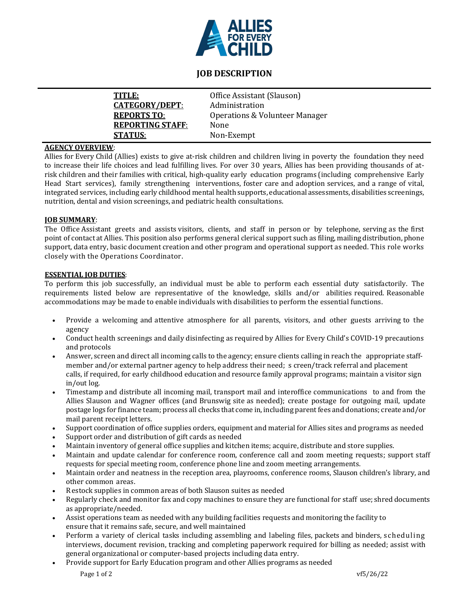

# **JOB DESCRIPTION**

| TITLE:                  | Office Assistant (Slauson)                |
|-------------------------|-------------------------------------------|
| <u>CATEGORY/DEPT:</u>   | Administration                            |
| <b>REPORTS TO:</b>      | <b>Operations &amp; Volunteer Manager</b> |
| <b>REPORTING STAFF:</b> | None                                      |
| <b>STATUS:</b>          | Non-Exempt                                |
|                         |                                           |

# **AGENCY OVERVIEW**:

Allies for Every Child (Allies) exists to give at-risk children and children living in poverty the foundation they need to increase their life choices and lead fulfilling lives. For over 30 years, Allies has been providing thousands of atrisk children and their families with critical, high-quality early education programs (including comprehensive Early Head Start services), family strengthening interventions, foster care and adoption services, and a range of vital, integrated services, including early childhood mental health supports, educational assessments, disabilities screenings, nutrition, dental and vision screenings, and pediatric health consultations.

### **JOB SUMMARY**:

The Office Assistant greets and assists visitors, clients, and staff in person or by telephone, serving as the first point of contact at Allies. This position also performs general clerical support such as filing, mailing distribution, phone support, data entry, basic document creation and other program and operational support as needed. This role works closely with the Operations Coordinator.

#### **ESSENTIAL JOB DUTIES**:

To perform this job successfully, an individual must be able to perform each essential duty satisfactorily. The requirements listed below are representative of the knowledge, skills and/or abilities required. Reasonable accommodations may be made to enable individuals with disabilities to perform the essential functions.

- Provide a welcoming and attentive atmosphere for all parents, visitors, and other guests arriving to the agency
- Conduct health screenings and daily disinfecting as required by Allies for Every Child's COVID-19 precautions and protocols
- Answer, screen and direct all incoming calls to the agency; ensure clients calling in reach the appropriate staffmember and/or external partner agency to help address their need; s creen/track referral and placement calls, if required, for early childhood education and resource family approval programs; maintain a visitor sign in/out log.
- Timestamp and distribute all incoming mail, transport mail and interoffice communications to and from the Allies Slauson and Wagner offices (and Brunswig site as needed); create postage for outgoing mail, update postage logs for finance team; process all checks that come in, including parent fees and donations; create and/or mail parent receipt letters.
- Support coordination of office supplies orders, equipment and material for Allies sites and programs as needed
- Support order and distribution of gift cards as needed
- Maintain inventory of general office supplies and kitchen items; acquire, distribute and store supplies.
- Maintain and update calendar for conference room, conference call and zoom meeting requests; support staff requests for special meeting room, conference phone line and zoom meeting arrangements.
- Maintain order and neatness in the reception area, playrooms, conference rooms, Slauson children's library, and other common areas.
- Restock supplies in common areas of both Slauson suites as needed
- Regularly check and monitor fax and copy machines to ensure they are functional for staff use; shred documents as appropriate/needed.
- Assist operations team as needed with any building facilities requests and monitoring the facility to ensure that it remains safe, secure, and well maintained
- Perform a variety of clerical tasks including assembling and labeling files, packets and binders, scheduling interviews, document revision, tracking and completing paperwork required for billing as needed; assist with general organizational or computer-based projects including data entry.
- Provide support for Early Education program and other Allies programs as needed